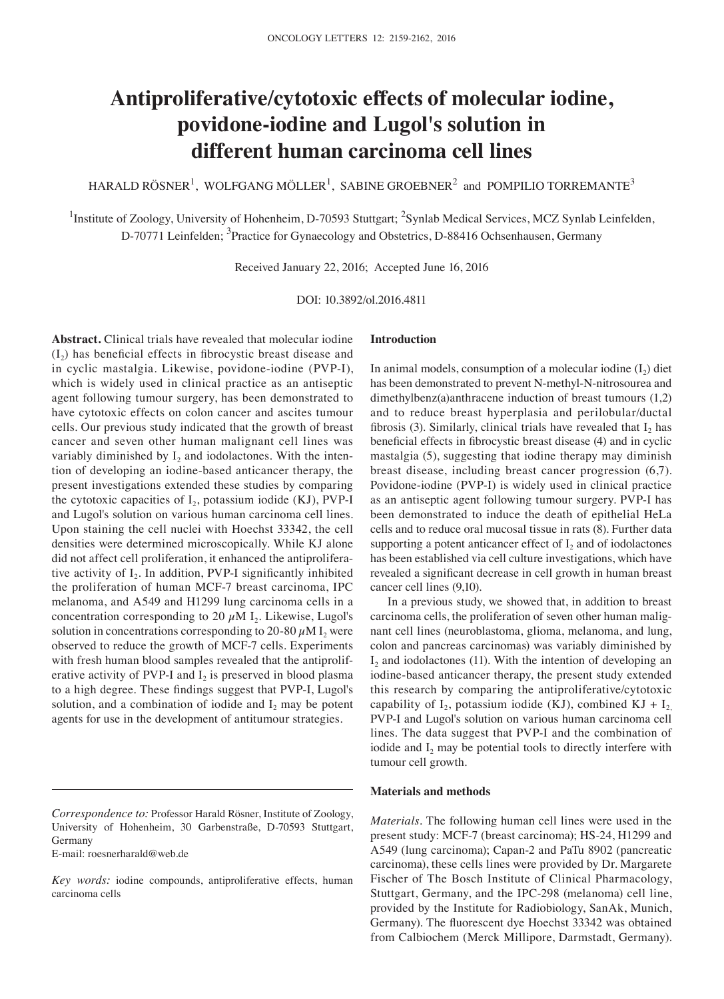# **Antiproliferative/cytotoxic effects of molecular iodine, povidone-iodine and Lugol's solution in different human carcinoma cell lines**

HARALD RÖSNER $^1$ , WOLFGANG MÖLLER $^1$ , SABINE GROEBNER $^2$  and POMPILIO TORREMANTE $^3$ 

<sup>1</sup>Institute of Zoology, University of Hohenheim, D-70593 Stuttgart; <sup>2</sup>Synlab Medical Services, MCZ Synlab Leinfelden, D-70771 Leinfelden; <sup>3</sup>Practice for Gynaecology and Obstetrics, D-88416 Ochsenhausen, Germany

Received January 22, 2016; Accepted June 16, 2016

DOI: 10.3892/ol.2016.4811

**Abstract.** Clinical trials have revealed that molecular iodine  $(I_2)$  has beneficial effects in fibrocystic breast disease and in cyclic mastalgia. Likewise, povidone‑iodine (PVP-I), which is widely used in clinical practice as an antiseptic agent following tumour surgery, has been demonstrated to have cytotoxic effects on colon cancer and ascites tumour cells. Our previous study indicated that the growth of breast cancer and seven other human malignant cell lines was variably diminished by  $I_2$  and iodolactones. With the intention of developing an iodine‑based anticancer therapy, the present investigations extended these studies by comparing the cytotoxic capacities of  $I_2$ , potassium iodide (KJ), PVP-I and Lugol's solution on various human carcinoma cell lines. Upon staining the cell nuclei with Hoechst 33342, the cell densities were determined microscopically. While KJ alone did not affect cell proliferation, it enhanced the antiproliferative activity of  $I_2$ . In addition, PVP-I significantly inhibited the proliferation of human MCF‑7 breast carcinoma, IPC melanoma, and A549 and H1299 lung carcinoma cells in a concentration corresponding to 20  $\mu$ M I<sub>2</sub>. Likewise, Lugol's solution in concentrations corresponding to 20-80  $\mu$ M I<sub>2</sub> were observed to reduce the growth of MCF‑7 cells. Experiments with fresh human blood samples revealed that the antiproliferative activity of PVP-I and  $I_2$  is preserved in blood plasma to a high degree. These findings suggest that PVP‑I, Lugol's solution, and a combination of iodide and  $I_2$  may be potent agents for use in the development of antitumour strategies.

E‑mail: roesnerharald@web.de

## **Introduction**

In animal models, consumption of a molecular iodine  $(I_2)$  diet has been demonstrated to prevent N-methyl-N-nitrosourea and dimethylbenz(a)anthracene induction of breast tumours (1,2) and to reduce breast hyperplasia and perilobular/ductal fibrosis (3). Similarly, clinical trials have revealed that  $I_2$  has beneficial effects in fibrocystic breast disease (4) and in cyclic mastalgia (5), suggesting that iodine therapy may diminish breast disease, including breast cancer progression (6,7). Povidone‑iodine (PVP‑I) is widely used in clinical practice as an antiseptic agent following tumour surgery. PVP‑I has been demonstrated to induce the death of epithelial HeLa cells and to reduce oral mucosal tissue in rats (8). Further data supporting a potent anticancer effect of  $I_2$  and of iodolactones has been established via cell culture investigations, which have revealed a significant decrease in cell growth in human breast cancer cell lines (9,10).

In a previous study, we showed that, in addition to breast carcinoma cells, the proliferation of seven other human malignant cell lines (neuroblastoma, glioma, melanoma, and lung, colon and pancreas carcinomas) was variably diminished by  $I_2$  and iodolactones (11). With the intention of developing an iodine-based anticancer therapy, the present study extended this research by comparing the antiproliferative/cytotoxic capability of I<sub>2</sub>, potassium iodide (KJ), combined KJ + I<sub>2</sub> PVP‑I and Lugol's solution on various human carcinoma cell lines. The data suggest that PVP‑I and the combination of iodide and  $I_2$  may be potential tools to directly interfere with tumour cell growth.

### **Materials and methods**

*Materials.* The following human cell lines were used in the present study: MCF-7 (breast carcinoma); HS-24, H1299 and A549 (lung carcinoma); Capan-2 and PaTu 8902 (pancreatic carcinoma), these cells lines were provided by Dr. Margarete Fischer of The Bosch Institute of Clinical Pharmacology, Stuttgart, Germany, and the IPC-298 (melanoma) cell line, provided by the Institute for Radiobiology, SanAk, Munich, Germany). The fluorescent dye Hoechst 33342 was obtained from Calbiochem (Merck Millipore, Darmstadt, Germany).

*Correspondence to:* Professor Harald Rösner, Institute of Zoology, University of Hohenheim, 30 Garbenstraße, D-70593 Stuttgart, Germany

*Key words:* iodine compounds, antiproliferative effects, human carcinoma cells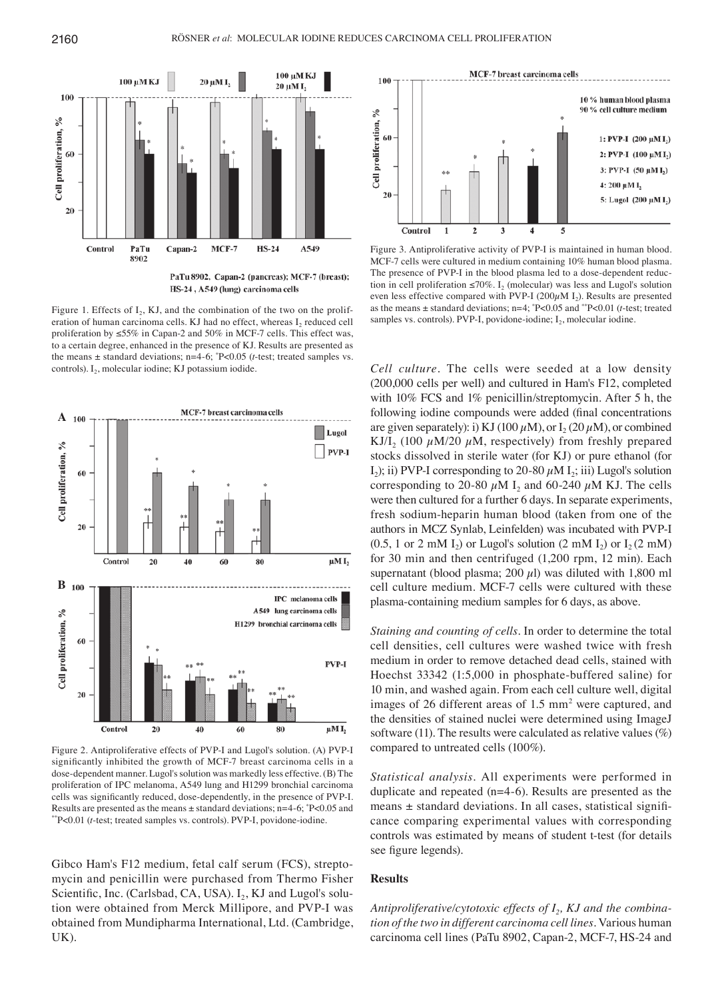

PaTu 8902, Capan-2 (pancreas); MCF-7 (breast); HS-24, A549 (lung) carcinoma cells

Figure 1. Effects of  $I_2$ , KJ, and the combination of the two on the proliferation of human carcinoma cells. KJ had no effect, whereas  $I_2$  reduced cell proliferation by  $\leq 55\%$  in Capan-2 and 50% in MCF-7 cells. This effect was, to a certain degree, enhanced in the presence of KJ. Results are presented as the means ± standard deviations; n=4‑6; \* P<0.05 (*t*‑test; treated samples vs. controls).  $I_2$ , molecular iodine; KJ potassium iodide.



Figure 2. Antiproliferative effects of PVP‑I and Lugol's solution. (A) PVP‑I significantly inhibited the growth of MCF‑7 breast carcinoma cells in a dose‑dependent manner. Lugol's solution was markedly less effective. (B) The proliferation of IPC melanoma, A549 lung and H1299 bronchial carcinoma cells was significantly reduced, dose‑dependently, in the presence of PVP‑I. Results are presented as the means  $\pm$  standard deviations; n=4-6;  $P$ <0.05 and \*\*P<0.01 (*t*‑test; treated samples vs. controls). PVP‑I, povidone‑iodine.

Gibco Ham's F12 medium, fetal calf serum (FCS), streptomycin and penicillin were purchased from Thermo Fisher Scientific, Inc. (Carlsbad, CA, USA).  $I_2$ , KJ and Lugol's solution were obtained from Merck Millipore, and PVP‑I was obtained from Mundipharma International, Ltd. (Cambridge, UK).



Figure 3. Antiproliferative activity of PVP-I is maintained in human blood. MCF‑7 cells were cultured in medium containing 10% human blood plasma. The presence of PVP-I in the blood plasma led to a dose-dependent reduction in cell proliferation  $\leq 70\%$ . I<sub>2</sub> (molecular) was less and Lugol's solution even less effective compared with PVP-I (200 $\mu$ M I<sub>2</sub>). Results are presented as the means ± standard deviations; n=4; \* P<0.05 and \*\*P<0.01 (*t*‑test; treated samples vs. controls). PVP-I, povidone-iodine;  $I_2$ , molecular iodine.

*Cell culture.* The cells were seeded at a low density (200,000 cells per well) and cultured in Ham's F12, completed with 10% FCS and 1% penicillin/streptomycin. After 5 h, the following iodine compounds were added (final concentrations are given separately): i) KJ (100  $\mu$ M), or I<sub>2</sub> (20  $\mu$ M), or combined KJ/I<sub>2</sub> (100  $\mu$ M/20  $\mu$ M, respectively) from freshly prepared stocks dissolved in sterile water (for KJ) or pure ethanol (for I<sub>2</sub>); ii) PVP-I corresponding to 20–80  $\mu$ M I<sub>2</sub>; iii) Lugol's solution corresponding to 20–80  $\mu$ M I<sub>2</sub> and 60–240  $\mu$ M KJ. The cells were then cultured for a further 6 days. In separate experiments, fresh sodium‑heparin human blood (taken from one of the authors in MCZ Synlab, Leinfelden) was incubated with PVP‑I  $(0.5, 1 \text{ or } 2 \text{ mM } I_2)$  or Lugol's solution  $(2 \text{ mM } I_2)$  or  $I_2(2 \text{ mM})$ for 30 min and then centrifuged (1,200 rpm, 12 min). Each supernatant (blood plasma; 200  $\mu$ l) was diluted with 1,800 ml cell culture medium. MCF-7 cells were cultured with these plasma‑containing medium samples for 6 days, as above.

*Staining and counting of cells.* In order to determine the total cell densities, cell cultures were washed twice with fresh medium in order to remove detached dead cells, stained with Hoechst 33342 (1:5,000 in phosphate-buffered saline) for 10 min, and washed again. From each cell culture well, digital images of 26 different areas of 1.5 mm<sup>2</sup> were captured, and the densities of stained nuclei were determined using ImageJ software (11). The results were calculated as relative values  $(\%)$ compared to untreated cells (100%).

*Statistical analysis.* All experiments were performed in duplicate and repeated  $(n=4-6)$ . Results are presented as the means ± standard deviations. In all cases, statistical significance comparing experimental values with corresponding controls was estimated by means of student t-test (for details see figure legends).

# **Results**

*Antiproliferative/cytotoxic effects of I<sub>2</sub>, KJ and the combina– tion of the two in different carcinoma cell lines.* Various human carcinoma cell lines (PaTu 8902, Capan‑2, MCF‑7, HS‑24 and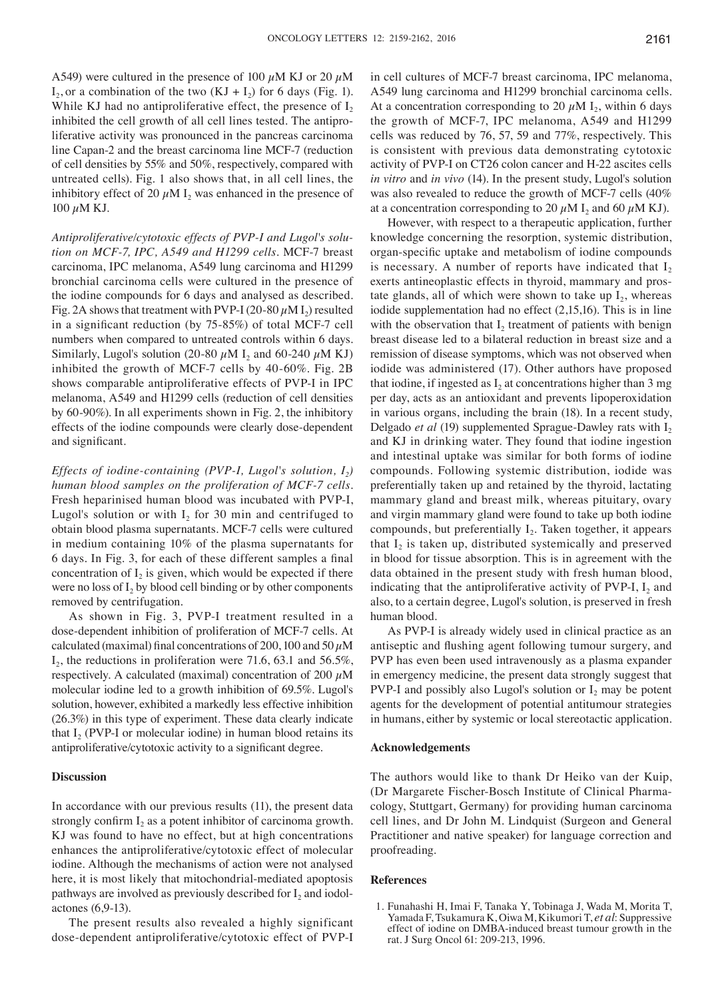A549) were cultured in the presence of 100  $\mu$ M KJ or 20  $\mu$ M  $I_2$ , or a combination of the two  $(KJ + I_2)$  for 6 days (Fig. 1). While KJ had no antiproliferative effect, the presence of  $I_2$ inhibited the cell growth of all cell lines tested. The antiproliferative activity was pronounced in the pancreas carcinoma line Capan-2 and the breast carcinoma line MCF-7 (reduction of cell densities by 55% and 50%, respectively, compared with untreated cells). Fig. 1 also shows that, in all cell lines, the inhibitory effect of 20  $\mu$ M I<sub>2</sub> was enhanced in the presence of  $100 \mu M$  KJ.

*Antiproliferative/cytotoxic effects of PVP‑I and Lugol's solu‑ tion on MCF‑7, IPC, A549 and H1299 cells.* MCF‑7 breast carcinoma, IPC melanoma, A549 lung carcinoma and H1299 bronchial carcinoma cells were cultured in the presence of the iodine compounds for 6 days and analysed as described. Fig. 2A shows that treatment with PVP-I (20-80  $\mu$ M I<sub>2</sub>) resulted in a significant reduction (by 75‑85%) of total MCF‑7 cell numbers when compared to untreated controls within 6 days. Similarly, Lugol's solution (20-80  $\mu$ M I<sub>2</sub> and 60-240  $\mu$ M KJ) inhibited the growth of MCF‑7 cells by 40‑60%. Fig. 2B shows comparable antiproliferative effects of PVP‑I in IPC melanoma, A549 and H1299 cells (reduction of cell densities by 60‑90%). In all experiments shown in Fig. 2, the inhibitory effects of the iodine compounds were clearly dose‑dependent and significant.

*Effects of iodine-containing (PVP-I, Lugol's solution, I<sub>2</sub>) human blood samples on the proliferation of MCF‑7 cells.*  Fresh heparinised human blood was incubated with PVP‑I, Lugol's solution or with  $I_2$  for 30 min and centrifuged to obtain blood plasma supernatants. MCF‑7 cells were cultured in medium containing 10% of the plasma supernatants for 6 days. In Fig. 3, for each of these different samples a final concentration of  $I_2$  is given, which would be expected if there were no loss of  $I_2$  by blood cell binding or by other components removed by centrifugation.

As shown in Fig. 3, PVP‑I treatment resulted in a dose‑dependent inhibition of proliferation of MCF‑7 cells. At calculated (maximal) final concentrations of 200, 100 and 50  $\mu$ M  $I_2$ , the reductions in proliferation were 71.6, 63.1 and 56.5%, respectively. A calculated (maximal) concentration of 200  $\mu$ M molecular iodine led to a growth inhibition of 69.5%. Lugol's solution, however, exhibited a markedly less effective inhibition (26.3%) in this type of experiment. These data clearly indicate that  $I_2$  (PVP-I or molecular iodine) in human blood retains its antiproliferative/cytotoxic activity to a significant degree.

# **Discussion**

In accordance with our previous results (11), the present data strongly confirm  $I_2$  as a potent inhibitor of carcinoma growth. KJ was found to have no effect, but at high concentrations enhances the antiproliferative/cytotoxic effect of molecular iodine. Although the mechanisms of action were not analysed here, it is most likely that mitochondrial-mediated apoptosis pathways are involved as previously described for  $I_2$  and iodolactones (6,9‑13).

The present results also revealed a highly significant dose‑dependent antiproliferative/cytotoxic effect of PVP‑I in cell cultures of MCF‑7 breast carcinoma, IPC melanoma, A549 lung carcinoma and H1299 bronchial carcinoma cells. At a concentration corresponding to 20  $\mu$ M I<sub>2</sub>, within 6 days the growth of MCF‑7, IPC melanoma, A549 and H1299 cells was reduced by 76, 57, 59 and 77%, respectively. This is consistent with previous data demonstrating cytotoxic activity of PVP‑I on CT26 colon cancer and H‑22 ascites cells *in vitro* and *in vivo* (14). In the present study, Lugol's solution was also revealed to reduce the growth of MCF‑7 cells (40% at a concentration corresponding to 20  $\mu$ M I<sub>2</sub> and 60  $\mu$ M KJ).

However, with respect to a therapeutic application, further knowledge concerning the resorption, systemic distribution, organ‑specific uptake and metabolism of iodine compounds is necessary. A number of reports have indicated that  $I_2$ exerts antineoplastic effects in thyroid, mammary and prostate glands, all of which were shown to take up  $I_2$ , whereas iodide supplementation had no effect (2,15,16). This is in line with the observation that  $I_2$  treatment of patients with benign breast disease led to a bilateral reduction in breast size and a remission of disease symptoms, which was not observed when iodide was administered (17). Other authors have proposed that iodine, if ingested as  $I_2$  at concentrations higher than 3 mg per day, acts as an antioxidant and prevents lipoperoxidation in various organs, including the brain (18). In a recent study, Delgado *et al* (19) supplemented Sprague-Dawley rats with I<sub>2</sub> and KJ in drinking water. They found that iodine ingestion and intestinal uptake was similar for both forms of iodine compounds. Following systemic distribution, iodide was preferentially taken up and retained by the thyroid, lactating mammary gland and breast milk, whereas pituitary, ovary and virgin mammary gland were found to take up both iodine compounds, but preferentially  $I_2$ . Taken together, it appears that  $I_2$  is taken up, distributed systemically and preserved in blood for tissue absorption. This is in agreement with the data obtained in the present study with fresh human blood, indicating that the antiproliferative activity of PVP-I,  $I_2$  and also, to a certain degree, Lugol's solution, is preserved in fresh human blood.

As PVP‑I is already widely used in clinical practice as an antiseptic and flushing agent following tumour surgery, and PVP has even been used intravenously as a plasma expander in emergency medicine, the present data strongly suggest that PVP-I and possibly also Lugol's solution or  $I_2$  may be potent agents for the development of potential antitumour strategies in humans, either by systemic or local stereotactic application.

#### **Acknowledgements**

The authors would like to thank Dr Heiko van der Kuip, (Dr Margarete Fischer‑Bosch Institute of Clinical Pharmacology, Stuttgart, Germany) for providing human carcinoma cell lines, and Dr John M. Lindquist (Surgeon and General Practitioner and native speaker) for language correction and proofreading.

#### **References**

1. Funahashi H, Imai F, Tanaka Y, Tobinaga J, Wada M, Morita T, Yamada F, Tsukamura K, Oiwa M, Kikumori T, *et al*: Suppressive effect of iodine on DMBA‑induced breast tumour growth in the rat. J Surg Oncol 61: 209‑213, 1996.